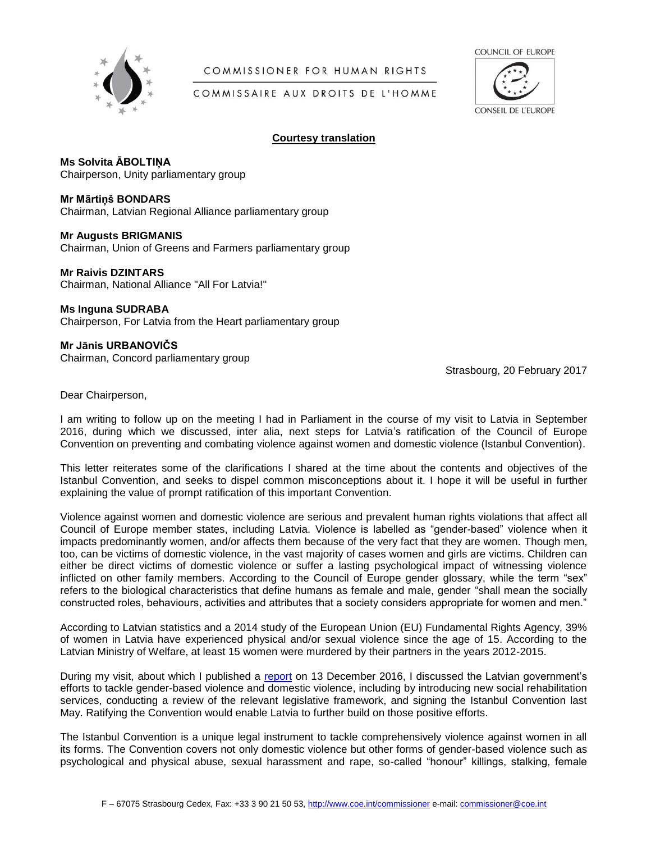

# COMMISSIONER FOR HUMAN RIGHTS

COUNCIL OF EUROPE

# COMMISSAIRE AUX DROITS DE L'HOMME



### **Courtesy translation**

**Ms Solvita ĀBOLTIŅA** Chairperson, Unity parliamentary group

## **Mr Mārtiņš BONDARS**

Chairman, Latvian Regional Alliance parliamentary group

## **Mr Augusts BRIGMANIS**

Chairman, Union of Greens and Farmers parliamentary group

# **Mr Raivis DZINTARS**

Chairman, National Alliance "All For Latvia!"

## **Ms Inguna SUDRABA**

Chairperson, For Latvia from the Heart parliamentary group

# **Mr Jānis URBANOVIČS**

Chairman, Concord parliamentary group

Strasbourg, 20 February 2017

Dear Chairperson,

I am writing to follow up on the meeting I had in Parliament in the course of my visit to Latvia in September 2016, during which we discussed, inter alia, next steps for Latvia's ratification of the Council of Europe Convention on preventing and combating violence against women and domestic violence (Istanbul Convention).

This letter reiterates some of the clarifications I shared at the time about the contents and objectives of the Istanbul Convention, and seeks to dispel common misconceptions about it. I hope it will be useful in further explaining the value of prompt ratification of this important Convention.

Violence against women and domestic violence are serious and prevalent human rights violations that affect all Council of Europe member states, including Latvia. Violence is labelled as "gender-based" violence when it impacts predominantly women, and/or affects them because of the very fact that they are women. Though men, too, can be victims of domestic violence, in the vast majority of cases women and girls are victims. Children can either be direct victims of domestic violence or suffer a lasting psychological impact of witnessing violence inflicted on other family members. According to the Council of Europe gender glossary, while the term "sex" refers to the biological characteristics that define humans as female and male, gender "shall mean the socially constructed roles, behaviours, activities and attributes that a society considers appropriate for women and men."

According to Latvian statistics and a 2014 study of the European Union (EU) Fundamental Rights Agency, 39% of women in Latvia have experienced physical and/or sexual violence since the age of 15. According to the Latvian Ministry of Welfare, at least 15 women were murdered by their partners in the years 2012-2015.

During my visit, about which I published a [report](https://rm.coe.int/CoERMPublicCommonSearchServices/DisplayDCTMContent?coeReference=CommDH(2016)41) on 13 December 2016, I discussed the Latvian government's efforts to tackle gender-based violence and domestic violence, including by introducing new social rehabilitation services, conducting a review of the relevant legislative framework, and signing the Istanbul Convention last May. Ratifying the Convention would enable Latvia to further build on those positive efforts.

The Istanbul Convention is a unique legal instrument to tackle comprehensively violence against women in all its forms. The Convention covers not only domestic violence but other forms of gender-based violence such as psychological and physical abuse, sexual harassment and rape, so-called "honour" killings, stalking, female